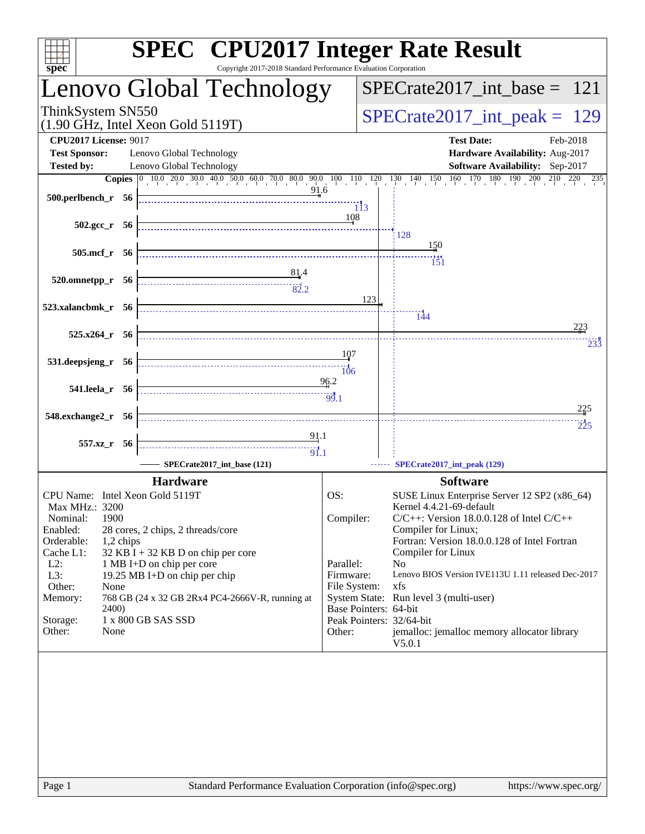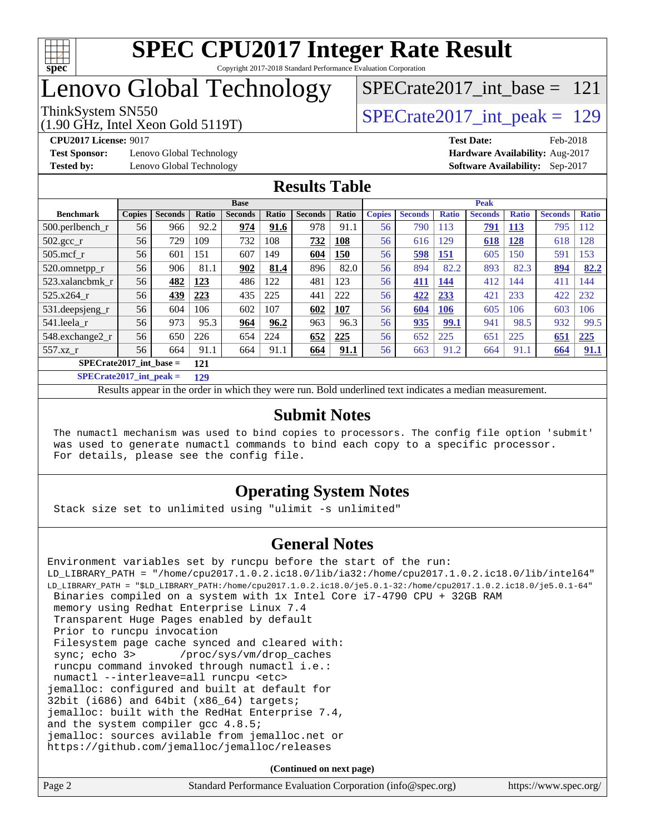

## Lenovo Global Technology

[SPECrate2017\\_int\\_base =](http://www.spec.org/auto/cpu2017/Docs/result-fields.html#SPECrate2017intbase) 121

(1.90 GHz, Intel Xeon Gold 5119T)

ThinkSystem SN550<br>(1.00 GHz, Intel Year Gold 5110T) [SPECrate2017\\_int\\_peak =](http://www.spec.org/auto/cpu2017/Docs/result-fields.html#SPECrate2017intpeak) 129

**[Test Sponsor:](http://www.spec.org/auto/cpu2017/Docs/result-fields.html#TestSponsor)** Lenovo Global Technology **[Hardware Availability:](http://www.spec.org/auto/cpu2017/Docs/result-fields.html#HardwareAvailability)** Aug-2017 **[Tested by:](http://www.spec.org/auto/cpu2017/Docs/result-fields.html#Testedby)** Lenovo Global Technology **[Software Availability:](http://www.spec.org/auto/cpu2017/Docs/result-fields.html#SoftwareAvailability)** Sep-2017

**[CPU2017 License:](http://www.spec.org/auto/cpu2017/Docs/result-fields.html#CPU2017License)** 9017 **[Test Date:](http://www.spec.org/auto/cpu2017/Docs/result-fields.html#TestDate)** Feb-2018

#### **[Results Table](http://www.spec.org/auto/cpu2017/Docs/result-fields.html#ResultsTable)**

|                           | <b>Base</b>   |                |       |                |              | <b>Peak</b>    |       |               |                |              |                |              |                |              |
|---------------------------|---------------|----------------|-------|----------------|--------------|----------------|-------|---------------|----------------|--------------|----------------|--------------|----------------|--------------|
| <b>Benchmark</b>          | <b>Copies</b> | <b>Seconds</b> | Ratio | <b>Seconds</b> | <b>Ratio</b> | <b>Seconds</b> | Ratio | <b>Copies</b> | <b>Seconds</b> | <b>Ratio</b> | <b>Seconds</b> | <b>Ratio</b> | <b>Seconds</b> | <b>Ratio</b> |
| $500.$ perlbench_r        | 56            | 966            | 92.2  | 974            | 91.6         | 978            | 91.1  | 56            | 790            | 113          | 791            | 113          | 795            | 12           |
| 502.gcc_r                 | 56            | 729            | 109   | 732            | 108          | 732            | 108   | 56            | 616            | 129          | 618            | 128          | 618            | 128          |
| $505$ .mcf r              | 56            | 601            | 151   | 607            | 149          | 604            | 150   | 56            | 598            | <u>151</u>   | 605            | 150          | 591            | 153          |
| 520.omnetpp_r             | 56            | 906            | 81.1  | 902            | 81.4         | 896            | 82.0  | 56            | 894            | 82.2         | 893            | 82.3         | 894            | 82.2         |
| 523.xalancbmk r           | 56            | 482            | 123   | 486            | 122          | 481            | 123   | 56            | 411            | 144          | 412            | 144          | 411            | 144          |
| 525.x264 r                | 56            | 439            | 223   | 435            | 225          | 441            | 222   | 56            | 422            | 233          | 421            | 233          | 422            | 232          |
| 531.deepsjeng_r           | 56            | 604            | 106   | 602            | 107          | 602            | 107   | 56            | 604            | 106          | 605            | 106          | 603            | 106          |
| 541.leela r               | 56            | 973            | 95.3  | 964            | 96.2         | 963            | 96.3  | 56            | 935            | 99.1         | 941            | 98.5         | 932            | 99.5         |
| 548.exchange2_r           | 56            | 650            | 226   | 654            | 224          | 652            | 225   | 56            | 652            | 225          | 651            | 225          | 651            | 225          |
| $557.xz$ r                | 56            | 664            | 91.1  | 664            | 91.1         | 664            | 91.1  | 56            | 663            | 91.2         | 664            | 91.1         | 664            | 91.1         |
| $SPECrate2017$ int base = |               |                | 121   |                |              |                |       |               |                |              |                |              |                |              |

**[SPECrate2017\\_int\\_peak =](http://www.spec.org/auto/cpu2017/Docs/result-fields.html#SPECrate2017intpeak) 129**

Results appear in the [order in which they were run.](http://www.spec.org/auto/cpu2017/Docs/result-fields.html#RunOrder) Bold underlined text [indicates a median measurement.](http://www.spec.org/auto/cpu2017/Docs/result-fields.html#Median)

#### **[Submit Notes](http://www.spec.org/auto/cpu2017/Docs/result-fields.html#SubmitNotes)**

 The numactl mechanism was used to bind copies to processors. The config file option 'submit' was used to generate numactl commands to bind each copy to a specific processor. For details, please see the config file.

#### **[Operating System Notes](http://www.spec.org/auto/cpu2017/Docs/result-fields.html#OperatingSystemNotes)**

Stack size set to unlimited using "ulimit -s unlimited"

#### **[General Notes](http://www.spec.org/auto/cpu2017/Docs/result-fields.html#GeneralNotes)**

Environment variables set by runcpu before the start of the run: LD\_LIBRARY\_PATH = "/home/cpu2017.1.0.2.ic18.0/lib/ia32:/home/cpu2017.1.0.2.ic18.0/lib/intel64" LD\_LIBRARY\_PATH = "\$LD\_LIBRARY\_PATH:/home/cpu2017.1.0.2.ic18.0/je5.0.1-32:/home/cpu2017.1.0.2.ic18.0/je5.0.1-64" Binaries compiled on a system with 1x Intel Core i7-4790 CPU + 32GB RAM memory using Redhat Enterprise Linux 7.4 Transparent Huge Pages enabled by default Prior to runcpu invocation Filesystem page cache synced and cleared with: sync; echo 3> /proc/sys/vm/drop\_caches runcpu command invoked through numactl i.e.: numactl --interleave=all runcpu <etc> jemalloc: configured and built at default for 32bit (i686) and 64bit (x86\_64) targets; jemalloc: built with the RedHat Enterprise 7.4, and the system compiler gcc 4.8.5; jemalloc: sources avilable from jemalloc.net or <https://github.com/jemalloc/jemalloc/releases> **(Continued on next page)**

Page 2 Standard Performance Evaluation Corporation [\(info@spec.org\)](mailto:info@spec.org) <https://www.spec.org/>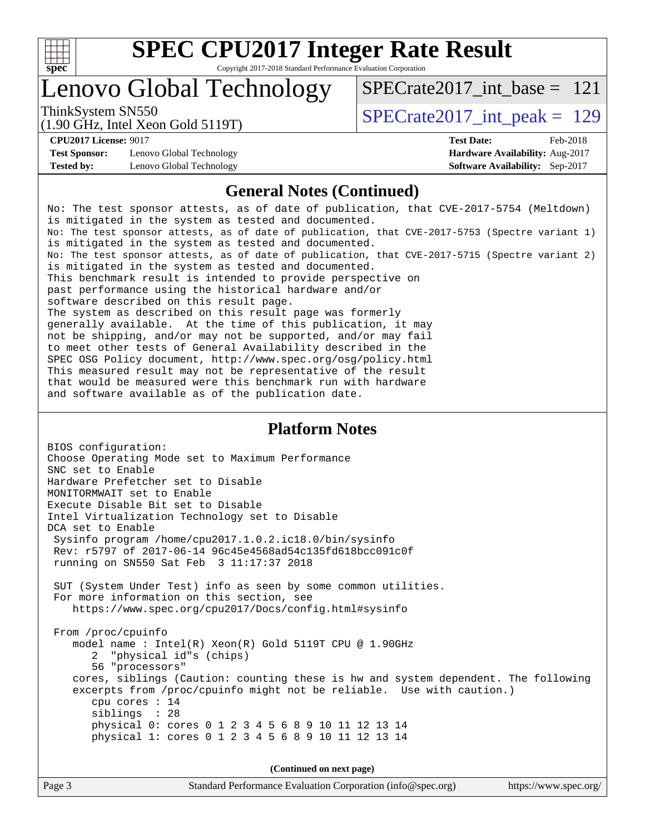

### Lenovo Global Technology

ThinkSystem SN550<br>(1.00 GHz, Intel Year Gold 5110T) [SPECrate2017\\_int\\_peak =](http://www.spec.org/auto/cpu2017/Docs/result-fields.html#SPECrate2017intpeak) 129 [SPECrate2017\\_int\\_base =](http://www.spec.org/auto/cpu2017/Docs/result-fields.html#SPECrate2017intbase) 121

(1.90 GHz, Intel Xeon Gold 5119T)

**[Test Sponsor:](http://www.spec.org/auto/cpu2017/Docs/result-fields.html#TestSponsor)** Lenovo Global Technology **[Hardware Availability:](http://www.spec.org/auto/cpu2017/Docs/result-fields.html#HardwareAvailability)** Aug-2017 **[Tested by:](http://www.spec.org/auto/cpu2017/Docs/result-fields.html#Testedby)** Lenovo Global Technology **[Software Availability:](http://www.spec.org/auto/cpu2017/Docs/result-fields.html#SoftwareAvailability)** Sep-2017

**[CPU2017 License:](http://www.spec.org/auto/cpu2017/Docs/result-fields.html#CPU2017License)** 9017 **[Test Date:](http://www.spec.org/auto/cpu2017/Docs/result-fields.html#TestDate)** Feb-2018

#### **[General Notes \(Continued\)](http://www.spec.org/auto/cpu2017/Docs/result-fields.html#GeneralNotes)**

No: The test sponsor attests, as of date of publication, that CVE-2017-5754 (Meltdown) is mitigated in the system as tested and documented. No: The test sponsor attests, as of date of publication, that CVE-2017-5753 (Spectre variant 1) is mitigated in the system as tested and documented. No: The test sponsor attests, as of date of publication, that CVE-2017-5715 (Spectre variant 2) is mitigated in the system as tested and documented. This benchmark result is intended to provide perspective on past performance using the historical hardware and/or software described on this result page. The system as described on this result page was formerly generally available. At the time of this publication, it may not be shipping, and/or may not be supported, and/or may fail to meet other tests of General Availability described in the SPEC OSG Policy document, <http://www.spec.org/osg/policy.html> This measured result may not be representative of the result that would be measured were this benchmark run with hardware and software available as of the publication date.

#### **[Platform Notes](http://www.spec.org/auto/cpu2017/Docs/result-fields.html#PlatformNotes)**

BIOS configuration: Choose Operating Mode set to Maximum Performance SNC set to Enable Hardware Prefetcher set to Disable MONITORMWAIT set to Enable Execute Disable Bit set to Disable Intel Virtualization Technology set to Disable DCA set to Enable Sysinfo program /home/cpu2017.1.0.2.ic18.0/bin/sysinfo Rev: r5797 of 2017-06-14 96c45e4568ad54c135fd618bcc091c0f running on SN550 Sat Feb 3 11:17:37 2018 SUT (System Under Test) info as seen by some common utilities. For more information on this section, see <https://www.spec.org/cpu2017/Docs/config.html#sysinfo> From /proc/cpuinfo model name : Intel(R) Xeon(R) Gold 5119T CPU @ 1.90GHz 2 "physical id"s (chips) 56 "processors" cores, siblings (Caution: counting these is hw and system dependent. The following excerpts from /proc/cpuinfo might not be reliable. Use with caution.) cpu cores : 14 siblings : 28 physical 0: cores 0 1 2 3 4 5 6 8 9 10 11 12 13 14 physical 1: cores 0 1 2 3 4 5 6 8 9 10 11 12 13 14

**(Continued on next page)**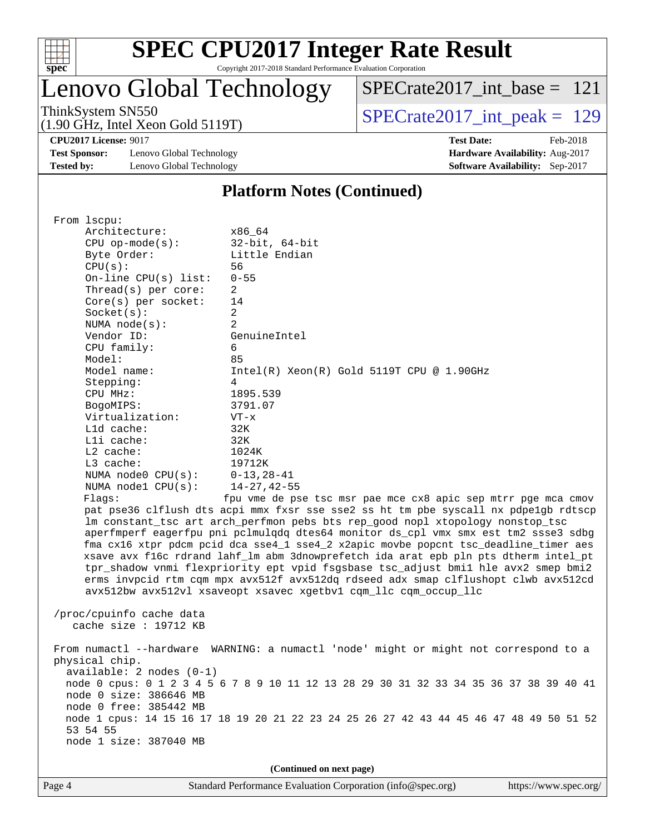

# **[SPEC CPU2017 Integer Rate Result](http://www.spec.org/auto/cpu2017/Docs/result-fields.html#SPECCPU2017IntegerRateResult)**

Copyright 2017-2018 Standard Performance Evaluation Corporation

Lenovo Global Technology

[SPECrate2017\\_int\\_base =](http://www.spec.org/auto/cpu2017/Docs/result-fields.html#SPECrate2017intbase) 121

(1.90 GHz, Intel Xeon Gold 5119T)

ThinkSystem SN550<br>(1.90 GHz, Intel Xeon Gold 5119T) [SPECrate2017\\_int\\_peak =](http://www.spec.org/auto/cpu2017/Docs/result-fields.html#SPECrate2017intpeak) 129

**[CPU2017 License:](http://www.spec.org/auto/cpu2017/Docs/result-fields.html#CPU2017License)** 9017 **[Test Date:](http://www.spec.org/auto/cpu2017/Docs/result-fields.html#TestDate)** Feb-2018

**[Test Sponsor:](http://www.spec.org/auto/cpu2017/Docs/result-fields.html#TestSponsor)** Lenovo Global Technology **[Hardware Availability:](http://www.spec.org/auto/cpu2017/Docs/result-fields.html#HardwareAvailability)** Aug-2017 **[Tested by:](http://www.spec.org/auto/cpu2017/Docs/result-fields.html#Testedby)** Lenovo Global Technology **[Software Availability:](http://www.spec.org/auto/cpu2017/Docs/result-fields.html#SoftwareAvailability)** Sep-2017

#### **[Platform Notes \(Continued\)](http://www.spec.org/auto/cpu2017/Docs/result-fields.html#PlatformNotes)**

| From 1scpu:                                                                                                                            |                                                                                                                                                                                                                                                                                                                                                                                                                                                                                                                                                                                                                                                                                          |  |  |  |  |
|----------------------------------------------------------------------------------------------------------------------------------------|------------------------------------------------------------------------------------------------------------------------------------------------------------------------------------------------------------------------------------------------------------------------------------------------------------------------------------------------------------------------------------------------------------------------------------------------------------------------------------------------------------------------------------------------------------------------------------------------------------------------------------------------------------------------------------------|--|--|--|--|
| Architecture:                                                                                                                          | x86_64                                                                                                                                                                                                                                                                                                                                                                                                                                                                                                                                                                                                                                                                                   |  |  |  |  |
| $CPU$ op-mode(s):                                                                                                                      | $32$ -bit, $64$ -bit                                                                                                                                                                                                                                                                                                                                                                                                                                                                                                                                                                                                                                                                     |  |  |  |  |
| Byte Order:                                                                                                                            | Little Endian                                                                                                                                                                                                                                                                                                                                                                                                                                                                                                                                                                                                                                                                            |  |  |  |  |
| CPU(s):                                                                                                                                | 56                                                                                                                                                                                                                                                                                                                                                                                                                                                                                                                                                                                                                                                                                       |  |  |  |  |
| On-line CPU(s) list:                                                                                                                   | $0 - 55$                                                                                                                                                                                                                                                                                                                                                                                                                                                                                                                                                                                                                                                                                 |  |  |  |  |
| Thread( $s$ ) per core:                                                                                                                | 2                                                                                                                                                                                                                                                                                                                                                                                                                                                                                                                                                                                                                                                                                        |  |  |  |  |
| Core(s) per socket:                                                                                                                    | 14                                                                                                                                                                                                                                                                                                                                                                                                                                                                                                                                                                                                                                                                                       |  |  |  |  |
| Socket(s):                                                                                                                             | 2                                                                                                                                                                                                                                                                                                                                                                                                                                                                                                                                                                                                                                                                                        |  |  |  |  |
| NUMA $node(s):$                                                                                                                        | 2                                                                                                                                                                                                                                                                                                                                                                                                                                                                                                                                                                                                                                                                                        |  |  |  |  |
| Vendor ID:                                                                                                                             | GenuineIntel                                                                                                                                                                                                                                                                                                                                                                                                                                                                                                                                                                                                                                                                             |  |  |  |  |
| CPU family:                                                                                                                            | 6                                                                                                                                                                                                                                                                                                                                                                                                                                                                                                                                                                                                                                                                                        |  |  |  |  |
| Model:                                                                                                                                 | 85                                                                                                                                                                                                                                                                                                                                                                                                                                                                                                                                                                                                                                                                                       |  |  |  |  |
| Model name:                                                                                                                            | $Intel(R) Xeon(R) Gold 5119T CPU @ 1.90GHz$                                                                                                                                                                                                                                                                                                                                                                                                                                                                                                                                                                                                                                              |  |  |  |  |
| Stepping:                                                                                                                              | 4                                                                                                                                                                                                                                                                                                                                                                                                                                                                                                                                                                                                                                                                                        |  |  |  |  |
| CPU MHz:                                                                                                                               | 1895.539                                                                                                                                                                                                                                                                                                                                                                                                                                                                                                                                                                                                                                                                                 |  |  |  |  |
| BogoMIPS:                                                                                                                              | 3791.07                                                                                                                                                                                                                                                                                                                                                                                                                                                                                                                                                                                                                                                                                  |  |  |  |  |
| Virtualization:                                                                                                                        | $VT - x$                                                                                                                                                                                                                                                                                                                                                                                                                                                                                                                                                                                                                                                                                 |  |  |  |  |
| L1d cache:                                                                                                                             | 32K                                                                                                                                                                                                                                                                                                                                                                                                                                                                                                                                                                                                                                                                                      |  |  |  |  |
| Lli cache:                                                                                                                             | 32K                                                                                                                                                                                                                                                                                                                                                                                                                                                                                                                                                                                                                                                                                      |  |  |  |  |
| $L2$ cache:                                                                                                                            | 1024K                                                                                                                                                                                                                                                                                                                                                                                                                                                                                                                                                                                                                                                                                    |  |  |  |  |
| $L3$ cache:                                                                                                                            | 19712K                                                                                                                                                                                                                                                                                                                                                                                                                                                                                                                                                                                                                                                                                   |  |  |  |  |
| NUMA node0 CPU(s):                                                                                                                     | $0 - 13, 28 - 41$                                                                                                                                                                                                                                                                                                                                                                                                                                                                                                                                                                                                                                                                        |  |  |  |  |
| NUMA nodel $CPU(s):$                                                                                                                   | $14 - 27, 42 - 55$                                                                                                                                                                                                                                                                                                                                                                                                                                                                                                                                                                                                                                                                       |  |  |  |  |
| Flags:                                                                                                                                 | fpu vme de pse tsc msr pae mce cx8 apic sep mtrr pge mca cmov                                                                                                                                                                                                                                                                                                                                                                                                                                                                                                                                                                                                                            |  |  |  |  |
|                                                                                                                                        | pat pse36 clflush dts acpi mmx fxsr sse sse2 ss ht tm pbe syscall nx pdpelgb rdtscp<br>lm constant_tsc art arch_perfmon pebs bts rep_good nopl xtopology nonstop_tsc<br>aperfmperf eagerfpu pni pclmulqdq dtes64 monitor ds_cpl vmx smx est tm2 ssse3 sdbg<br>fma cx16 xtpr pdcm pcid dca sse4_1 sse4_2 x2apic movbe popcnt tsc_deadline_timer aes<br>xsave avx f16c rdrand lahf_lm abm 3dnowprefetch ida arat epb pln pts dtherm intel_pt<br>tpr_shadow vnmi flexpriority ept vpid fsgsbase tsc_adjust bmil hle avx2 smep bmi2<br>erms invpcid rtm cqm mpx avx512f avx512dq rdseed adx smap clflushopt clwb avx512cd<br>avx512bw avx512vl xsaveopt xsavec xgetbvl cqm_llc cqm_occup_llc |  |  |  |  |
| /proc/cpuinfo cache data<br>cache size : 19712 KB                                                                                      |                                                                                                                                                                                                                                                                                                                                                                                                                                                                                                                                                                                                                                                                                          |  |  |  |  |
| physical chip.<br>$available: 2 nodes (0-1)$<br>node 0 size: 386646 MB<br>node 0 free: 385442 MB<br>53 54 55<br>node 1 size: 387040 MB | From numactl --hardware WARNING: a numactl 'node' might or might not correspond to a<br>node 0 cpus: 0 1 2 3 4 5 6 7 8 9 10 11 12 13 28 29 30 31 32 33 34 35 36 37 38 39 40 41<br>node 1 cpus: 14 15 16 17 18 19 20 21 22 23 24 25 26 27 42 43 44 45 46 47 48 49 50 51 52                                                                                                                                                                                                                                                                                                                                                                                                                |  |  |  |  |
| (Continued on next page)                                                                                                               |                                                                                                                                                                                                                                                                                                                                                                                                                                                                                                                                                                                                                                                                                          |  |  |  |  |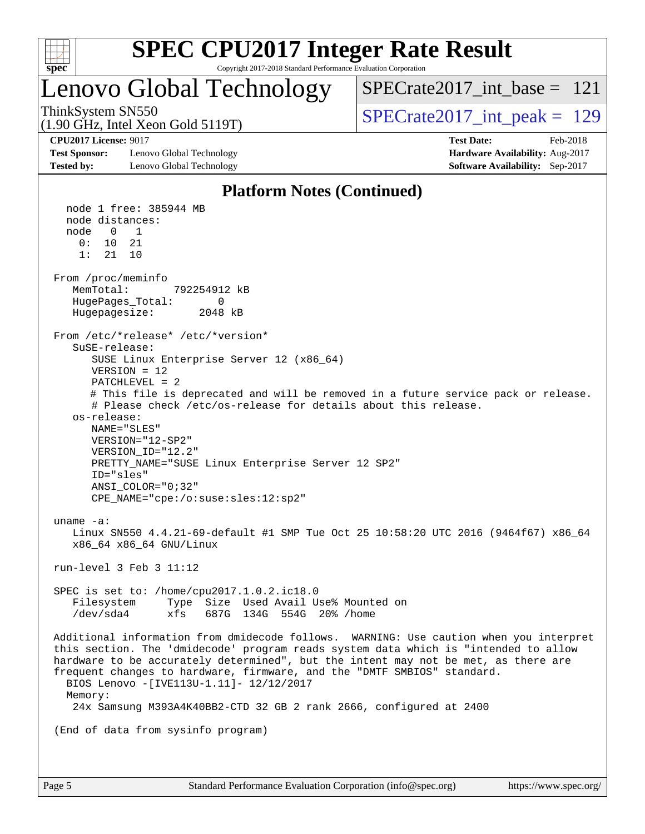

# **[SPEC CPU2017 Integer Rate Result](http://www.spec.org/auto/cpu2017/Docs/result-fields.html#SPECCPU2017IntegerRateResult)**

Copyright 2017-2018 Standard Performance Evaluation Corporation

### Lenovo Global Technology

[SPECrate2017\\_int\\_base =](http://www.spec.org/auto/cpu2017/Docs/result-fields.html#SPECrate2017intbase) 121

(1.90 GHz, Intel Xeon Gold 5119T)

ThinkSystem SN550<br>(1.00 GHz, Intel Year Gold 5110T) [SPECrate2017\\_int\\_peak =](http://www.spec.org/auto/cpu2017/Docs/result-fields.html#SPECrate2017intpeak) 129

**[Test Sponsor:](http://www.spec.org/auto/cpu2017/Docs/result-fields.html#TestSponsor)** Lenovo Global Technology **[Hardware Availability:](http://www.spec.org/auto/cpu2017/Docs/result-fields.html#HardwareAvailability)** Aug-2017 **[Tested by:](http://www.spec.org/auto/cpu2017/Docs/result-fields.html#Testedby)** Lenovo Global Technology **[Software Availability:](http://www.spec.org/auto/cpu2017/Docs/result-fields.html#SoftwareAvailability)** Sep-2017

**[CPU2017 License:](http://www.spec.org/auto/cpu2017/Docs/result-fields.html#CPU2017License)** 9017 **[Test Date:](http://www.spec.org/auto/cpu2017/Docs/result-fields.html#TestDate)** Feb-2018

#### **[Platform Notes \(Continued\)](http://www.spec.org/auto/cpu2017/Docs/result-fields.html#PlatformNotes)**

 node 1 free: 385944 MB node distances: node 0 1  $0: 10 21$  1: 21 10 From /proc/meminfo<br>MemTotal: 792254912 kB HugePages\_Total: 0 Hugepagesize: 2048 kB From /etc/\*release\* /etc/\*version\* SuSE-release: SUSE Linux Enterprise Server 12 (x86\_64) VERSION = 12 PATCHLEVEL = 2 # This file is deprecated and will be removed in a future service pack or release. # Please check /etc/os-release for details about this release. os-release: NAME="SLES" VERSION="12-SP2" VERSION\_ID="12.2" PRETTY\_NAME="SUSE Linux Enterprise Server 12 SP2" ID="sles" ANSI\_COLOR="0;32" CPE\_NAME="cpe:/o:suse:sles:12:sp2" uname -a: Linux SN550 4.4.21-69-default #1 SMP Tue Oct 25 10:58:20 UTC 2016 (9464f67) x86\_64 x86\_64 x86\_64 GNU/Linux run-level 3 Feb 3 11:12 SPEC is set to: /home/cpu2017.1.0.2.ic18.0 Filesystem Type Size Used Avail Use% Mounted on /dev/sda4 xfs 687G 134G 554G 20% /home Additional information from dmidecode follows. WARNING: Use caution when you interpret this section. The 'dmidecode' program reads system data which is "intended to allow hardware to be accurately determined", but the intent may not be met, as there are frequent changes to hardware, firmware, and the "DMTF SMBIOS" standard. BIOS Lenovo -[IVE113U-1.11]- 12/12/2017 Memory: 24x Samsung M393A4K40BB2-CTD 32 GB 2 rank 2666, configured at 2400 (End of data from sysinfo program)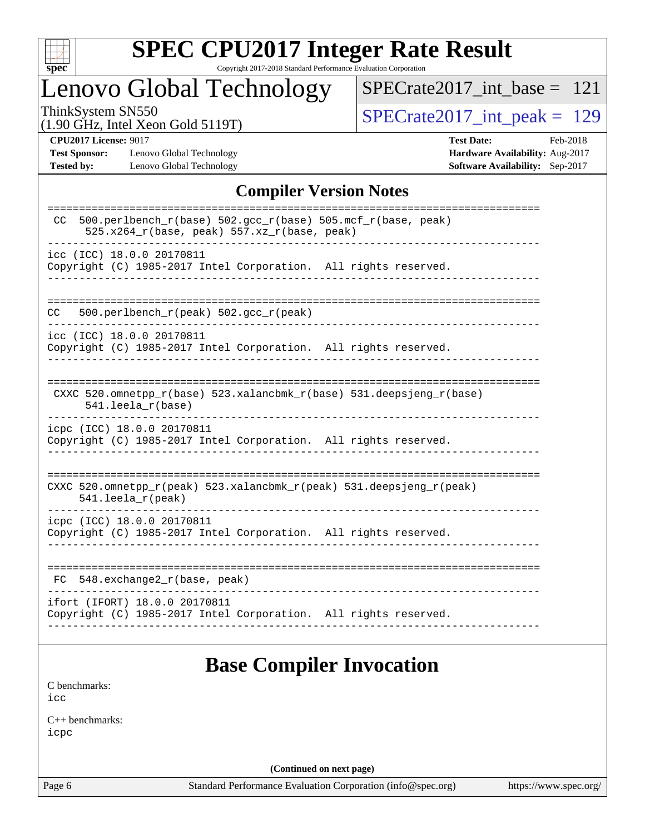

# **[SPEC CPU2017 Integer Rate Result](http://www.spec.org/auto/cpu2017/Docs/result-fields.html#SPECCPU2017IntegerRateResult)**

Copyright 2017-2018 Standard Performance Evaluation Corporation

## Lenovo Global Technology

[SPECrate2017\\_int\\_base =](http://www.spec.org/auto/cpu2017/Docs/result-fields.html#SPECrate2017intbase) 121

(1.90 GHz, Intel Xeon Gold 5119T)

ThinkSystem SN550<br>(1.90 GHz, Intel Xeon Gold 5119T) [SPECrate2017\\_int\\_peak =](http://www.spec.org/auto/cpu2017/Docs/result-fields.html#SPECrate2017intpeak) 129

**[Test Sponsor:](http://www.spec.org/auto/cpu2017/Docs/result-fields.html#TestSponsor)** Lenovo Global Technology **[Hardware Availability:](http://www.spec.org/auto/cpu2017/Docs/result-fields.html#HardwareAvailability)** Aug-2017 **[Tested by:](http://www.spec.org/auto/cpu2017/Docs/result-fields.html#Testedby)** Lenovo Global Technology **[Software Availability:](http://www.spec.org/auto/cpu2017/Docs/result-fields.html#SoftwareAvailability)** Sep-2017

**[CPU2017 License:](http://www.spec.org/auto/cpu2017/Docs/result-fields.html#CPU2017License)** 9017 **[Test Date:](http://www.spec.org/auto/cpu2017/Docs/result-fields.html#TestDate)** Feb-2018

#### **[Compiler Version Notes](http://www.spec.org/auto/cpu2017/Docs/result-fields.html#CompilerVersionNotes)**

| 500.perlbench_r(base) 502.gcc_r(base) 505.mcf_r(base, peak)<br>CC.<br>525.x264_r(base, peak) 557.xz_r(base, peak)<br>icc (ICC) 18.0.0 20170811<br>Copyright (C) 1985-2017 Intel Corporation. All rights reserved.<br>500.perlbench_r(peak) 502.gcc_r(peak)<br>CC.<br>icc (ICC) 18.0.0 20170811<br>Copyright (C) 1985-2017 Intel Corporation. All rights reserved.<br>CXXC 520.omnetpp_r(base) 523.xalancbmk_r(base) 531.deepsjeng_r(base)<br>$541.$ leela $r(base)$<br>icpc (ICC) 18.0.0 20170811<br>Copyright (C) 1985-2017 Intel Corporation. All rights reserved.<br>CXXC 520.omnetpp_r(peak) 523.xalancbmk_r(peak) 531.deepsjeng_r(peak)<br>$541.$ leela_r(peak)<br>icpc (ICC) 18.0.0 20170811<br>Copyright (C) 1985-2017 Intel Corporation. All rights reserved.<br>548.exchange2_r(base, peak)<br>FC.<br>ifort (IFORT) 18.0.0 20170811<br>Copyright (C) 1985-2017 Intel Corporation. All rights reserved. |  |  |  |
|-----------------------------------------------------------------------------------------------------------------------------------------------------------------------------------------------------------------------------------------------------------------------------------------------------------------------------------------------------------------------------------------------------------------------------------------------------------------------------------------------------------------------------------------------------------------------------------------------------------------------------------------------------------------------------------------------------------------------------------------------------------------------------------------------------------------------------------------------------------------------------------------------------------------|--|--|--|
|                                                                                                                                                                                                                                                                                                                                                                                                                                                                                                                                                                                                                                                                                                                                                                                                                                                                                                                 |  |  |  |
|                                                                                                                                                                                                                                                                                                                                                                                                                                                                                                                                                                                                                                                                                                                                                                                                                                                                                                                 |  |  |  |
|                                                                                                                                                                                                                                                                                                                                                                                                                                                                                                                                                                                                                                                                                                                                                                                                                                                                                                                 |  |  |  |
|                                                                                                                                                                                                                                                                                                                                                                                                                                                                                                                                                                                                                                                                                                                                                                                                                                                                                                                 |  |  |  |
|                                                                                                                                                                                                                                                                                                                                                                                                                                                                                                                                                                                                                                                                                                                                                                                                                                                                                                                 |  |  |  |
|                                                                                                                                                                                                                                                                                                                                                                                                                                                                                                                                                                                                                                                                                                                                                                                                                                                                                                                 |  |  |  |
|                                                                                                                                                                                                                                                                                                                                                                                                                                                                                                                                                                                                                                                                                                                                                                                                                                                                                                                 |  |  |  |
|                                                                                                                                                                                                                                                                                                                                                                                                                                                                                                                                                                                                                                                                                                                                                                                                                                                                                                                 |  |  |  |
|                                                                                                                                                                                                                                                                                                                                                                                                                                                                                                                                                                                                                                                                                                                                                                                                                                                                                                                 |  |  |  |
|                                                                                                                                                                                                                                                                                                                                                                                                                                                                                                                                                                                                                                                                                                                                                                                                                                                                                                                 |  |  |  |

### **[Base Compiler Invocation](http://www.spec.org/auto/cpu2017/Docs/result-fields.html#BaseCompilerInvocation)**

[C benchmarks](http://www.spec.org/auto/cpu2017/Docs/result-fields.html#Cbenchmarks): [icc](http://www.spec.org/cpu2017/results/res2018q1/cpu2017-20180206-03398.flags.html#user_CCbase_intel_icc_18.0_66fc1ee009f7361af1fbd72ca7dcefbb700085f36577c54f309893dd4ec40d12360134090235512931783d35fd58c0460139e722d5067c5574d8eaf2b3e37e92)

[C++ benchmarks:](http://www.spec.org/auto/cpu2017/Docs/result-fields.html#CXXbenchmarks) [icpc](http://www.spec.org/cpu2017/results/res2018q1/cpu2017-20180206-03398.flags.html#user_CXXbase_intel_icpc_18.0_c510b6838c7f56d33e37e94d029a35b4a7bccf4766a728ee175e80a419847e808290a9b78be685c44ab727ea267ec2f070ec5dc83b407c0218cded6866a35d07)

**(Continued on next page)**

Page 6 Standard Performance Evaluation Corporation [\(info@spec.org\)](mailto:info@spec.org) <https://www.spec.org/>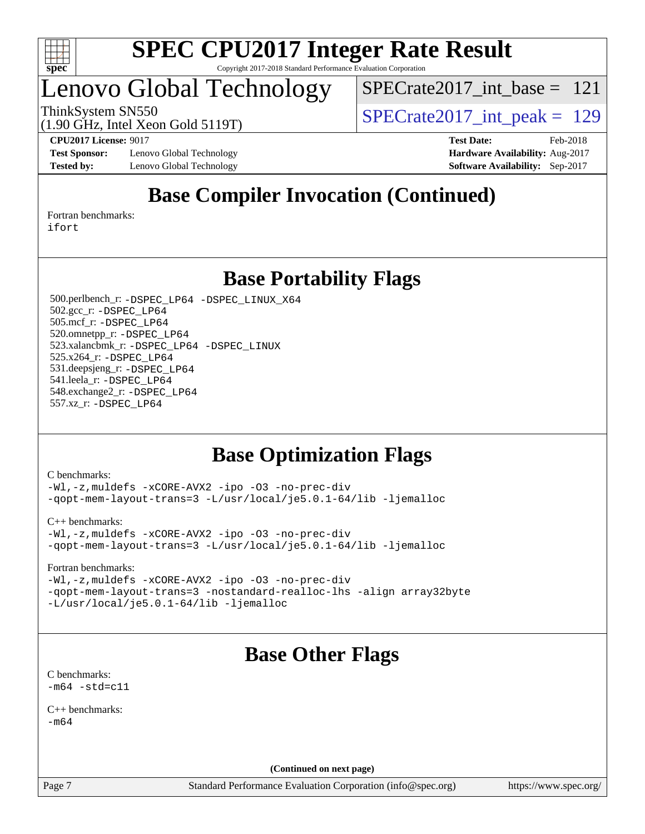

### Lenovo Global Technology

[SPECrate2017\\_int\\_base =](http://www.spec.org/auto/cpu2017/Docs/result-fields.html#SPECrate2017intbase) 121

ThinkSystem SN550<br>(1.90  $\text{CH}_2$  Intel Year Gold 5119T) [SPECrate2017\\_int\\_peak =](http://www.spec.org/auto/cpu2017/Docs/result-fields.html#SPECrate2017intpeak) 129

**[Test Sponsor:](http://www.spec.org/auto/cpu2017/Docs/result-fields.html#TestSponsor)** Lenovo Global Technology **[Hardware Availability:](http://www.spec.org/auto/cpu2017/Docs/result-fields.html#HardwareAvailability)** Aug-2017 **[Tested by:](http://www.spec.org/auto/cpu2017/Docs/result-fields.html#Testedby)** Lenovo Global Technology **[Software Availability:](http://www.spec.org/auto/cpu2017/Docs/result-fields.html#SoftwareAvailability)** Sep-2017

(1.90 GHz, Intel Xeon Gold 5119T)

**[CPU2017 License:](http://www.spec.org/auto/cpu2017/Docs/result-fields.html#CPU2017License)** 9017 **[Test Date:](http://www.spec.org/auto/cpu2017/Docs/result-fields.html#TestDate)** Feb-2018

### **[Base Compiler Invocation \(Continued\)](http://www.spec.org/auto/cpu2017/Docs/result-fields.html#BaseCompilerInvocation)**

[Fortran benchmarks](http://www.spec.org/auto/cpu2017/Docs/result-fields.html#Fortranbenchmarks): [ifort](http://www.spec.org/cpu2017/results/res2018q1/cpu2017-20180206-03398.flags.html#user_FCbase_intel_ifort_18.0_8111460550e3ca792625aed983ce982f94888b8b503583aa7ba2b8303487b4d8a21a13e7191a45c5fd58ff318f48f9492884d4413fa793fd88dd292cad7027ca)

**[Base Portability Flags](http://www.spec.org/auto/cpu2017/Docs/result-fields.html#BasePortabilityFlags)**

 500.perlbench\_r: [-DSPEC\\_LP64](http://www.spec.org/cpu2017/results/res2018q1/cpu2017-20180206-03398.flags.html#b500.perlbench_r_basePORTABILITY_DSPEC_LP64) [-DSPEC\\_LINUX\\_X64](http://www.spec.org/cpu2017/results/res2018q1/cpu2017-20180206-03398.flags.html#b500.perlbench_r_baseCPORTABILITY_DSPEC_LINUX_X64) 502.gcc\_r: [-DSPEC\\_LP64](http://www.spec.org/cpu2017/results/res2018q1/cpu2017-20180206-03398.flags.html#suite_basePORTABILITY502_gcc_r_DSPEC_LP64) 505.mcf\_r: [-DSPEC\\_LP64](http://www.spec.org/cpu2017/results/res2018q1/cpu2017-20180206-03398.flags.html#suite_basePORTABILITY505_mcf_r_DSPEC_LP64) 520.omnetpp\_r: [-DSPEC\\_LP64](http://www.spec.org/cpu2017/results/res2018q1/cpu2017-20180206-03398.flags.html#suite_basePORTABILITY520_omnetpp_r_DSPEC_LP64) 523.xalancbmk\_r: [-DSPEC\\_LP64](http://www.spec.org/cpu2017/results/res2018q1/cpu2017-20180206-03398.flags.html#suite_basePORTABILITY523_xalancbmk_r_DSPEC_LP64) [-DSPEC\\_LINUX](http://www.spec.org/cpu2017/results/res2018q1/cpu2017-20180206-03398.flags.html#b523.xalancbmk_r_baseCXXPORTABILITY_DSPEC_LINUX) 525.x264\_r: [-DSPEC\\_LP64](http://www.spec.org/cpu2017/results/res2018q1/cpu2017-20180206-03398.flags.html#suite_basePORTABILITY525_x264_r_DSPEC_LP64) 531.deepsjeng\_r: [-DSPEC\\_LP64](http://www.spec.org/cpu2017/results/res2018q1/cpu2017-20180206-03398.flags.html#suite_basePORTABILITY531_deepsjeng_r_DSPEC_LP64) 541.leela\_r: [-DSPEC\\_LP64](http://www.spec.org/cpu2017/results/res2018q1/cpu2017-20180206-03398.flags.html#suite_basePORTABILITY541_leela_r_DSPEC_LP64) 548.exchange2\_r: [-DSPEC\\_LP64](http://www.spec.org/cpu2017/results/res2018q1/cpu2017-20180206-03398.flags.html#suite_basePORTABILITY548_exchange2_r_DSPEC_LP64) 557.xz\_r: [-DSPEC\\_LP64](http://www.spec.org/cpu2017/results/res2018q1/cpu2017-20180206-03398.flags.html#suite_basePORTABILITY557_xz_r_DSPEC_LP64)

### **[Base Optimization Flags](http://www.spec.org/auto/cpu2017/Docs/result-fields.html#BaseOptimizationFlags)**

[C benchmarks](http://www.spec.org/auto/cpu2017/Docs/result-fields.html#Cbenchmarks):

[-Wl,-z,muldefs](http://www.spec.org/cpu2017/results/res2018q1/cpu2017-20180206-03398.flags.html#user_CCbase_link_force_multiple1_b4cbdb97b34bdee9ceefcfe54f4c8ea74255f0b02a4b23e853cdb0e18eb4525ac79b5a88067c842dd0ee6996c24547a27a4b99331201badda8798ef8a743f577) [-xCORE-AVX2](http://www.spec.org/cpu2017/results/res2018q1/cpu2017-20180206-03398.flags.html#user_CCbase_f-xCORE-AVX2) [-ipo](http://www.spec.org/cpu2017/results/res2018q1/cpu2017-20180206-03398.flags.html#user_CCbase_f-ipo) [-O3](http://www.spec.org/cpu2017/results/res2018q1/cpu2017-20180206-03398.flags.html#user_CCbase_f-O3) [-no-prec-div](http://www.spec.org/cpu2017/results/res2018q1/cpu2017-20180206-03398.flags.html#user_CCbase_f-no-prec-div) [-qopt-mem-layout-trans=3](http://www.spec.org/cpu2017/results/res2018q1/cpu2017-20180206-03398.flags.html#user_CCbase_f-qopt-mem-layout-trans_de80db37974c74b1f0e20d883f0b675c88c3b01e9d123adea9b28688d64333345fb62bc4a798493513fdb68f60282f9a726aa07f478b2f7113531aecce732043) [-L/usr/local/je5.0.1-64/lib](http://www.spec.org/cpu2017/results/res2018q1/cpu2017-20180206-03398.flags.html#user_CCbase_jemalloc_link_path64_4b10a636b7bce113509b17f3bd0d6226c5fb2346b9178c2d0232c14f04ab830f976640479e5c33dc2bcbbdad86ecfb6634cbbd4418746f06f368b512fced5394) [-ljemalloc](http://www.spec.org/cpu2017/results/res2018q1/cpu2017-20180206-03398.flags.html#user_CCbase_jemalloc_link_lib_d1249b907c500fa1c0672f44f562e3d0f79738ae9e3c4a9c376d49f265a04b9c99b167ecedbf6711b3085be911c67ff61f150a17b3472be731631ba4d0471706)

[C++ benchmarks:](http://www.spec.org/auto/cpu2017/Docs/result-fields.html#CXXbenchmarks)

[-Wl,-z,muldefs](http://www.spec.org/cpu2017/results/res2018q1/cpu2017-20180206-03398.flags.html#user_CXXbase_link_force_multiple1_b4cbdb97b34bdee9ceefcfe54f4c8ea74255f0b02a4b23e853cdb0e18eb4525ac79b5a88067c842dd0ee6996c24547a27a4b99331201badda8798ef8a743f577) [-xCORE-AVX2](http://www.spec.org/cpu2017/results/res2018q1/cpu2017-20180206-03398.flags.html#user_CXXbase_f-xCORE-AVX2) [-ipo](http://www.spec.org/cpu2017/results/res2018q1/cpu2017-20180206-03398.flags.html#user_CXXbase_f-ipo) [-O3](http://www.spec.org/cpu2017/results/res2018q1/cpu2017-20180206-03398.flags.html#user_CXXbase_f-O3) [-no-prec-div](http://www.spec.org/cpu2017/results/res2018q1/cpu2017-20180206-03398.flags.html#user_CXXbase_f-no-prec-div) [-qopt-mem-layout-trans=3](http://www.spec.org/cpu2017/results/res2018q1/cpu2017-20180206-03398.flags.html#user_CXXbase_f-qopt-mem-layout-trans_de80db37974c74b1f0e20d883f0b675c88c3b01e9d123adea9b28688d64333345fb62bc4a798493513fdb68f60282f9a726aa07f478b2f7113531aecce732043) [-L/usr/local/je5.0.1-64/lib](http://www.spec.org/cpu2017/results/res2018q1/cpu2017-20180206-03398.flags.html#user_CXXbase_jemalloc_link_path64_4b10a636b7bce113509b17f3bd0d6226c5fb2346b9178c2d0232c14f04ab830f976640479e5c33dc2bcbbdad86ecfb6634cbbd4418746f06f368b512fced5394) [-ljemalloc](http://www.spec.org/cpu2017/results/res2018q1/cpu2017-20180206-03398.flags.html#user_CXXbase_jemalloc_link_lib_d1249b907c500fa1c0672f44f562e3d0f79738ae9e3c4a9c376d49f265a04b9c99b167ecedbf6711b3085be911c67ff61f150a17b3472be731631ba4d0471706)

[Fortran benchmarks](http://www.spec.org/auto/cpu2017/Docs/result-fields.html#Fortranbenchmarks):

[-Wl,-z,muldefs](http://www.spec.org/cpu2017/results/res2018q1/cpu2017-20180206-03398.flags.html#user_FCbase_link_force_multiple1_b4cbdb97b34bdee9ceefcfe54f4c8ea74255f0b02a4b23e853cdb0e18eb4525ac79b5a88067c842dd0ee6996c24547a27a4b99331201badda8798ef8a743f577) [-xCORE-AVX2](http://www.spec.org/cpu2017/results/res2018q1/cpu2017-20180206-03398.flags.html#user_FCbase_f-xCORE-AVX2) [-ipo](http://www.spec.org/cpu2017/results/res2018q1/cpu2017-20180206-03398.flags.html#user_FCbase_f-ipo) [-O3](http://www.spec.org/cpu2017/results/res2018q1/cpu2017-20180206-03398.flags.html#user_FCbase_f-O3) [-no-prec-div](http://www.spec.org/cpu2017/results/res2018q1/cpu2017-20180206-03398.flags.html#user_FCbase_f-no-prec-div) [-qopt-mem-layout-trans=3](http://www.spec.org/cpu2017/results/res2018q1/cpu2017-20180206-03398.flags.html#user_FCbase_f-qopt-mem-layout-trans_de80db37974c74b1f0e20d883f0b675c88c3b01e9d123adea9b28688d64333345fb62bc4a798493513fdb68f60282f9a726aa07f478b2f7113531aecce732043) [-nostandard-realloc-lhs](http://www.spec.org/cpu2017/results/res2018q1/cpu2017-20180206-03398.flags.html#user_FCbase_f_2003_std_realloc_82b4557e90729c0f113870c07e44d33d6f5a304b4f63d4c15d2d0f1fab99f5daaed73bdb9275d9ae411527f28b936061aa8b9c8f2d63842963b95c9dd6426b8a) [-align array32byte](http://www.spec.org/cpu2017/results/res2018q1/cpu2017-20180206-03398.flags.html#user_FCbase_align_array32byte_b982fe038af199962ba9a80c053b8342c548c85b40b8e86eb3cc33dee0d7986a4af373ac2d51c3f7cf710a18d62fdce2948f201cd044323541f22fc0fffc51b6) [-L/usr/local/je5.0.1-64/lib](http://www.spec.org/cpu2017/results/res2018q1/cpu2017-20180206-03398.flags.html#user_FCbase_jemalloc_link_path64_4b10a636b7bce113509b17f3bd0d6226c5fb2346b9178c2d0232c14f04ab830f976640479e5c33dc2bcbbdad86ecfb6634cbbd4418746f06f368b512fced5394) [-ljemalloc](http://www.spec.org/cpu2017/results/res2018q1/cpu2017-20180206-03398.flags.html#user_FCbase_jemalloc_link_lib_d1249b907c500fa1c0672f44f562e3d0f79738ae9e3c4a9c376d49f265a04b9c99b167ecedbf6711b3085be911c67ff61f150a17b3472be731631ba4d0471706)

### **[Base Other Flags](http://www.spec.org/auto/cpu2017/Docs/result-fields.html#BaseOtherFlags)**

[C benchmarks](http://www.spec.org/auto/cpu2017/Docs/result-fields.html#Cbenchmarks):  $-m64 - std= c11$  $-m64 - std= c11$ 

[C++ benchmarks:](http://www.spec.org/auto/cpu2017/Docs/result-fields.html#CXXbenchmarks)  $-m64$ 

**(Continued on next page)**

Page 7 Standard Performance Evaluation Corporation [\(info@spec.org\)](mailto:info@spec.org) <https://www.spec.org/>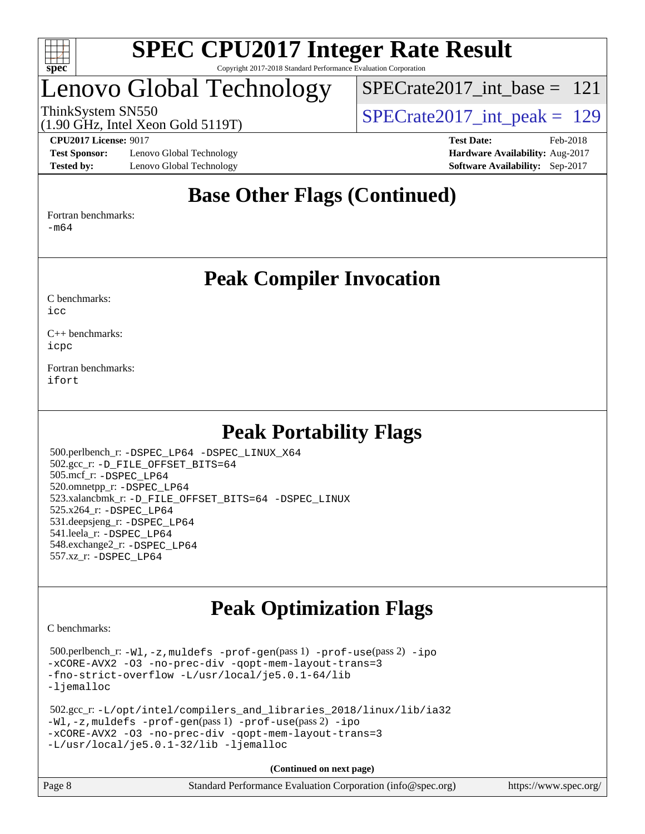

### Lenovo Global Technology

[SPECrate2017\\_int\\_base =](http://www.spec.org/auto/cpu2017/Docs/result-fields.html#SPECrate2017intbase) 121

(1.90 GHz, Intel Xeon Gold 5119T)

ThinkSystem SN550<br>(1.00 GHz, Intel Year Gold 5110T)  $SPECTate2017\_int\_peak = 129$ 

**[Test Sponsor:](http://www.spec.org/auto/cpu2017/Docs/result-fields.html#TestSponsor)** Lenovo Global Technology **[Hardware Availability:](http://www.spec.org/auto/cpu2017/Docs/result-fields.html#HardwareAvailability)** Aug-2017 **[Tested by:](http://www.spec.org/auto/cpu2017/Docs/result-fields.html#Testedby)** Lenovo Global Technology **[Software Availability:](http://www.spec.org/auto/cpu2017/Docs/result-fields.html#SoftwareAvailability)** Sep-2017

**[CPU2017 License:](http://www.spec.org/auto/cpu2017/Docs/result-fields.html#CPU2017License)** 9017 **[Test Date:](http://www.spec.org/auto/cpu2017/Docs/result-fields.html#TestDate)** Feb-2018

### **[Base Other Flags \(Continued\)](http://www.spec.org/auto/cpu2017/Docs/result-fields.html#BaseOtherFlags)**

[Fortran benchmarks](http://www.spec.org/auto/cpu2017/Docs/result-fields.html#Fortranbenchmarks):

[-m64](http://www.spec.org/cpu2017/results/res2018q1/cpu2017-20180206-03398.flags.html#user_FCbase_intel_intel64_18.0_af43caccfc8ded86e7699f2159af6efc7655f51387b94da716254467f3c01020a5059329e2569e4053f409e7c9202a7efc638f7a6d1ffb3f52dea4a3e31d82ab)

#### **[Peak Compiler Invocation](http://www.spec.org/auto/cpu2017/Docs/result-fields.html#PeakCompilerInvocation)**

[C benchmarks](http://www.spec.org/auto/cpu2017/Docs/result-fields.html#Cbenchmarks):  $i$ cc

[C++ benchmarks:](http://www.spec.org/auto/cpu2017/Docs/result-fields.html#CXXbenchmarks) [icpc](http://www.spec.org/cpu2017/results/res2018q1/cpu2017-20180206-03398.flags.html#user_CXXpeak_intel_icpc_18.0_c510b6838c7f56d33e37e94d029a35b4a7bccf4766a728ee175e80a419847e808290a9b78be685c44ab727ea267ec2f070ec5dc83b407c0218cded6866a35d07)

[Fortran benchmarks](http://www.spec.org/auto/cpu2017/Docs/result-fields.html#Fortranbenchmarks): [ifort](http://www.spec.org/cpu2017/results/res2018q1/cpu2017-20180206-03398.flags.html#user_FCpeak_intel_ifort_18.0_8111460550e3ca792625aed983ce982f94888b8b503583aa7ba2b8303487b4d8a21a13e7191a45c5fd58ff318f48f9492884d4413fa793fd88dd292cad7027ca)

### **[Peak Portability Flags](http://www.spec.org/auto/cpu2017/Docs/result-fields.html#PeakPortabilityFlags)**

 500.perlbench\_r: [-DSPEC\\_LP64](http://www.spec.org/cpu2017/results/res2018q1/cpu2017-20180206-03398.flags.html#b500.perlbench_r_peakPORTABILITY_DSPEC_LP64) [-DSPEC\\_LINUX\\_X64](http://www.spec.org/cpu2017/results/res2018q1/cpu2017-20180206-03398.flags.html#b500.perlbench_r_peakCPORTABILITY_DSPEC_LINUX_X64) 502.gcc\_r: [-D\\_FILE\\_OFFSET\\_BITS=64](http://www.spec.org/cpu2017/results/res2018q1/cpu2017-20180206-03398.flags.html#user_peakPORTABILITY502_gcc_r_file_offset_bits_64_5ae949a99b284ddf4e95728d47cb0843d81b2eb0e18bdfe74bbf0f61d0b064f4bda2f10ea5eb90e1dcab0e84dbc592acfc5018bc955c18609f94ddb8d550002c) 505.mcf\_r: [-DSPEC\\_LP64](http://www.spec.org/cpu2017/results/res2018q1/cpu2017-20180206-03398.flags.html#suite_peakPORTABILITY505_mcf_r_DSPEC_LP64) 520.omnetpp\_r: [-DSPEC\\_LP64](http://www.spec.org/cpu2017/results/res2018q1/cpu2017-20180206-03398.flags.html#suite_peakPORTABILITY520_omnetpp_r_DSPEC_LP64) 523.xalancbmk\_r: [-D\\_FILE\\_OFFSET\\_BITS=64](http://www.spec.org/cpu2017/results/res2018q1/cpu2017-20180206-03398.flags.html#user_peakPORTABILITY523_xalancbmk_r_file_offset_bits_64_5ae949a99b284ddf4e95728d47cb0843d81b2eb0e18bdfe74bbf0f61d0b064f4bda2f10ea5eb90e1dcab0e84dbc592acfc5018bc955c18609f94ddb8d550002c) [-DSPEC\\_LINUX](http://www.spec.org/cpu2017/results/res2018q1/cpu2017-20180206-03398.flags.html#b523.xalancbmk_r_peakCXXPORTABILITY_DSPEC_LINUX) 525.x264\_r: [-DSPEC\\_LP64](http://www.spec.org/cpu2017/results/res2018q1/cpu2017-20180206-03398.flags.html#suite_peakPORTABILITY525_x264_r_DSPEC_LP64) 531.deepsjeng\_r: [-DSPEC\\_LP64](http://www.spec.org/cpu2017/results/res2018q1/cpu2017-20180206-03398.flags.html#suite_peakPORTABILITY531_deepsjeng_r_DSPEC_LP64) 541.leela\_r: [-DSPEC\\_LP64](http://www.spec.org/cpu2017/results/res2018q1/cpu2017-20180206-03398.flags.html#suite_peakPORTABILITY541_leela_r_DSPEC_LP64) 548.exchange2\_r: [-DSPEC\\_LP64](http://www.spec.org/cpu2017/results/res2018q1/cpu2017-20180206-03398.flags.html#suite_peakPORTABILITY548_exchange2_r_DSPEC_LP64) 557.xz\_r: [-DSPEC\\_LP64](http://www.spec.org/cpu2017/results/res2018q1/cpu2017-20180206-03398.flags.html#suite_peakPORTABILITY557_xz_r_DSPEC_LP64)

### **[Peak Optimization Flags](http://www.spec.org/auto/cpu2017/Docs/result-fields.html#PeakOptimizationFlags)**

[C benchmarks](http://www.spec.org/auto/cpu2017/Docs/result-fields.html#Cbenchmarks):

 500.perlbench\_r: [-Wl,-z,muldefs](http://www.spec.org/cpu2017/results/res2018q1/cpu2017-20180206-03398.flags.html#user_peakEXTRA_LDFLAGS500_perlbench_r_link_force_multiple1_b4cbdb97b34bdee9ceefcfe54f4c8ea74255f0b02a4b23e853cdb0e18eb4525ac79b5a88067c842dd0ee6996c24547a27a4b99331201badda8798ef8a743f577) [-prof-gen](http://www.spec.org/cpu2017/results/res2018q1/cpu2017-20180206-03398.flags.html#user_peakPASS1_CFLAGSPASS1_LDFLAGS500_perlbench_r_prof_gen_5aa4926d6013ddb2a31985c654b3eb18169fc0c6952a63635c234f711e6e63dd76e94ad52365559451ec499a2cdb89e4dc58ba4c67ef54ca681ffbe1461d6b36)(pass 1) [-prof-use](http://www.spec.org/cpu2017/results/res2018q1/cpu2017-20180206-03398.flags.html#user_peakPASS2_CFLAGSPASS2_LDFLAGS500_perlbench_r_prof_use_1a21ceae95f36a2b53c25747139a6c16ca95bd9def2a207b4f0849963b97e94f5260e30a0c64f4bb623698870e679ca08317ef8150905d41bd88c6f78df73f19)(pass 2) [-ipo](http://www.spec.org/cpu2017/results/res2018q1/cpu2017-20180206-03398.flags.html#user_peakPASS1_COPTIMIZEPASS2_COPTIMIZE500_perlbench_r_f-ipo) [-xCORE-AVX2](http://www.spec.org/cpu2017/results/res2018q1/cpu2017-20180206-03398.flags.html#user_peakPASS2_COPTIMIZE500_perlbench_r_f-xCORE-AVX2) [-O3](http://www.spec.org/cpu2017/results/res2018q1/cpu2017-20180206-03398.flags.html#user_peakPASS1_COPTIMIZEPASS2_COPTIMIZE500_perlbench_r_f-O3) [-no-prec-div](http://www.spec.org/cpu2017/results/res2018q1/cpu2017-20180206-03398.flags.html#user_peakPASS1_COPTIMIZEPASS2_COPTIMIZE500_perlbench_r_f-no-prec-div) [-qopt-mem-layout-trans=3](http://www.spec.org/cpu2017/results/res2018q1/cpu2017-20180206-03398.flags.html#user_peakPASS1_COPTIMIZEPASS2_COPTIMIZE500_perlbench_r_f-qopt-mem-layout-trans_de80db37974c74b1f0e20d883f0b675c88c3b01e9d123adea9b28688d64333345fb62bc4a798493513fdb68f60282f9a726aa07f478b2f7113531aecce732043) [-fno-strict-overflow](http://www.spec.org/cpu2017/results/res2018q1/cpu2017-20180206-03398.flags.html#user_peakEXTRA_OPTIMIZE500_perlbench_r_f-fno-strict-overflow) [-L/usr/local/je5.0.1-64/lib](http://www.spec.org/cpu2017/results/res2018q1/cpu2017-20180206-03398.flags.html#user_peakEXTRA_LIBS500_perlbench_r_jemalloc_link_path64_4b10a636b7bce113509b17f3bd0d6226c5fb2346b9178c2d0232c14f04ab830f976640479e5c33dc2bcbbdad86ecfb6634cbbd4418746f06f368b512fced5394) [-ljemalloc](http://www.spec.org/cpu2017/results/res2018q1/cpu2017-20180206-03398.flags.html#user_peakEXTRA_LIBS500_perlbench_r_jemalloc_link_lib_d1249b907c500fa1c0672f44f562e3d0f79738ae9e3c4a9c376d49f265a04b9c99b167ecedbf6711b3085be911c67ff61f150a17b3472be731631ba4d0471706)

```
 502.gcc_r: -L/opt/intel/compilers_and_libraries_2018/linux/lib/ia32
-Wl,-z,muldefs -prof-gen(pass 1) -prof-use(pass 2) -ipo
-xCORE-AVX2 -O3 -no-prec-div -qopt-mem-layout-trans=3
-L/usr/local/je5.0.1-32/lib -ljemalloc
```
**(Continued on next page)**

| Page 8 | Standard Performance Evaluation Corporation (info@spec.org) | https://www.spec.org/ |
|--------|-------------------------------------------------------------|-----------------------|
|--------|-------------------------------------------------------------|-----------------------|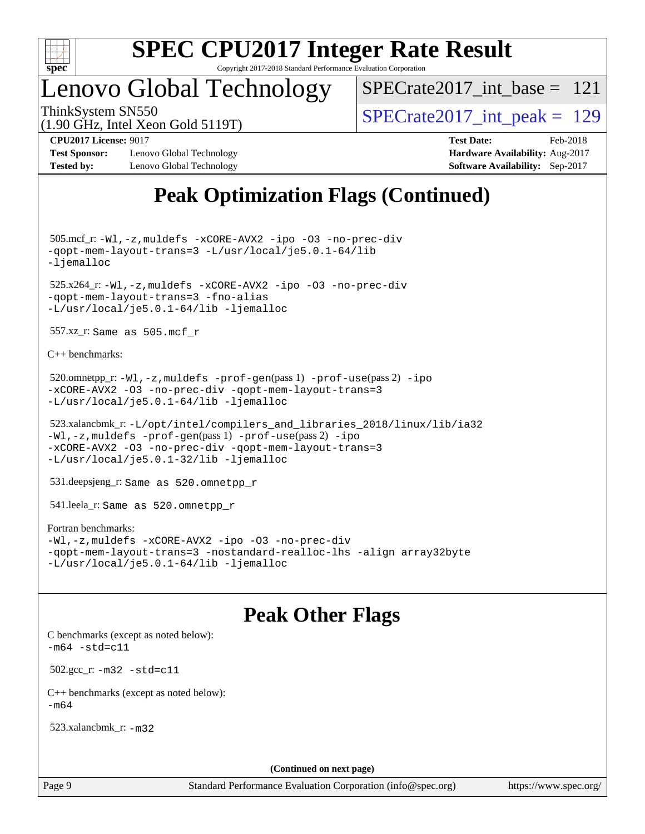

### Lenovo Global Technology

[SPECrate2017\\_int\\_base =](http://www.spec.org/auto/cpu2017/Docs/result-fields.html#SPECrate2017intbase) 121

(1.90 GHz, Intel Xeon Gold 5119T)

ThinkSystem SN550<br>(1.00 GHz, Intel Year Gold 5110T)  $SPECTate2017\_int\_peak = 129$ 

**[Test Sponsor:](http://www.spec.org/auto/cpu2017/Docs/result-fields.html#TestSponsor)** Lenovo Global Technology **[Hardware Availability:](http://www.spec.org/auto/cpu2017/Docs/result-fields.html#HardwareAvailability)** Aug-2017 **[Tested by:](http://www.spec.org/auto/cpu2017/Docs/result-fields.html#Testedby)** Lenovo Global Technology **[Software Availability:](http://www.spec.org/auto/cpu2017/Docs/result-fields.html#SoftwareAvailability)** Sep-2017

**[CPU2017 License:](http://www.spec.org/auto/cpu2017/Docs/result-fields.html#CPU2017License)** 9017 **[Test Date:](http://www.spec.org/auto/cpu2017/Docs/result-fields.html#TestDate)** Feb-2018

### **[Peak Optimization Flags \(Continued\)](http://www.spec.org/auto/cpu2017/Docs/result-fields.html#PeakOptimizationFlags)**

 505.mcf\_r: [-Wl,-z,muldefs](http://www.spec.org/cpu2017/results/res2018q1/cpu2017-20180206-03398.flags.html#user_peakEXTRA_LDFLAGS505_mcf_r_link_force_multiple1_b4cbdb97b34bdee9ceefcfe54f4c8ea74255f0b02a4b23e853cdb0e18eb4525ac79b5a88067c842dd0ee6996c24547a27a4b99331201badda8798ef8a743f577) [-xCORE-AVX2](http://www.spec.org/cpu2017/results/res2018q1/cpu2017-20180206-03398.flags.html#user_peakCOPTIMIZE505_mcf_r_f-xCORE-AVX2) [-ipo](http://www.spec.org/cpu2017/results/res2018q1/cpu2017-20180206-03398.flags.html#user_peakCOPTIMIZE505_mcf_r_f-ipo) [-O3](http://www.spec.org/cpu2017/results/res2018q1/cpu2017-20180206-03398.flags.html#user_peakCOPTIMIZE505_mcf_r_f-O3) [-no-prec-div](http://www.spec.org/cpu2017/results/res2018q1/cpu2017-20180206-03398.flags.html#user_peakCOPTIMIZE505_mcf_r_f-no-prec-div) [-qopt-mem-layout-trans=3](http://www.spec.org/cpu2017/results/res2018q1/cpu2017-20180206-03398.flags.html#user_peakCOPTIMIZE505_mcf_r_f-qopt-mem-layout-trans_de80db37974c74b1f0e20d883f0b675c88c3b01e9d123adea9b28688d64333345fb62bc4a798493513fdb68f60282f9a726aa07f478b2f7113531aecce732043) [-L/usr/local/je5.0.1-64/lib](http://www.spec.org/cpu2017/results/res2018q1/cpu2017-20180206-03398.flags.html#user_peakEXTRA_LIBS505_mcf_r_jemalloc_link_path64_4b10a636b7bce113509b17f3bd0d6226c5fb2346b9178c2d0232c14f04ab830f976640479e5c33dc2bcbbdad86ecfb6634cbbd4418746f06f368b512fced5394) [-ljemalloc](http://www.spec.org/cpu2017/results/res2018q1/cpu2017-20180206-03398.flags.html#user_peakEXTRA_LIBS505_mcf_r_jemalloc_link_lib_d1249b907c500fa1c0672f44f562e3d0f79738ae9e3c4a9c376d49f265a04b9c99b167ecedbf6711b3085be911c67ff61f150a17b3472be731631ba4d0471706)

 525.x264\_r: [-Wl,-z,muldefs](http://www.spec.org/cpu2017/results/res2018q1/cpu2017-20180206-03398.flags.html#user_peakEXTRA_LDFLAGS525_x264_r_link_force_multiple1_b4cbdb97b34bdee9ceefcfe54f4c8ea74255f0b02a4b23e853cdb0e18eb4525ac79b5a88067c842dd0ee6996c24547a27a4b99331201badda8798ef8a743f577) [-xCORE-AVX2](http://www.spec.org/cpu2017/results/res2018q1/cpu2017-20180206-03398.flags.html#user_peakCOPTIMIZE525_x264_r_f-xCORE-AVX2) [-ipo](http://www.spec.org/cpu2017/results/res2018q1/cpu2017-20180206-03398.flags.html#user_peakCOPTIMIZE525_x264_r_f-ipo) [-O3](http://www.spec.org/cpu2017/results/res2018q1/cpu2017-20180206-03398.flags.html#user_peakCOPTIMIZE525_x264_r_f-O3) [-no-prec-div](http://www.spec.org/cpu2017/results/res2018q1/cpu2017-20180206-03398.flags.html#user_peakCOPTIMIZE525_x264_r_f-no-prec-div) [-qopt-mem-layout-trans=3](http://www.spec.org/cpu2017/results/res2018q1/cpu2017-20180206-03398.flags.html#user_peakCOPTIMIZE525_x264_r_f-qopt-mem-layout-trans_de80db37974c74b1f0e20d883f0b675c88c3b01e9d123adea9b28688d64333345fb62bc4a798493513fdb68f60282f9a726aa07f478b2f7113531aecce732043) [-fno-alias](http://www.spec.org/cpu2017/results/res2018q1/cpu2017-20180206-03398.flags.html#user_peakEXTRA_OPTIMIZE525_x264_r_f-no-alias_77dbac10d91cbfe898fbf4a29d1b29b694089caa623bdd1baccc9957d4edbe8d106c0b357e2748a65b44fc9e83d78098bb898077f3fe92f9faf24f7bd4a07ed7) [-L/usr/local/je5.0.1-64/lib](http://www.spec.org/cpu2017/results/res2018q1/cpu2017-20180206-03398.flags.html#user_peakEXTRA_LIBS525_x264_r_jemalloc_link_path64_4b10a636b7bce113509b17f3bd0d6226c5fb2346b9178c2d0232c14f04ab830f976640479e5c33dc2bcbbdad86ecfb6634cbbd4418746f06f368b512fced5394) [-ljemalloc](http://www.spec.org/cpu2017/results/res2018q1/cpu2017-20180206-03398.flags.html#user_peakEXTRA_LIBS525_x264_r_jemalloc_link_lib_d1249b907c500fa1c0672f44f562e3d0f79738ae9e3c4a9c376d49f265a04b9c99b167ecedbf6711b3085be911c67ff61f150a17b3472be731631ba4d0471706)

557.xz\_r: Same as 505.mcf\_r

[C++ benchmarks:](http://www.spec.org/auto/cpu2017/Docs/result-fields.html#CXXbenchmarks)

```
520.omnetpp_r:-Wl-prof-use-ipo
-xCORE-AVX2 -O3 -no-prec-div -qopt-mem-layout-trans=3
-L/usr/local/je5.0.1-64/lib -ljemalloc
```

```
 523.xalancbmk_r: -L/opt/intel/compilers_and_libraries_2018/linux/lib/ia32
-Wl,-z,muldefs -prof-gen(pass 1) -prof-use(pass 2) -ipo
-xCORE-AVX2 -O3 -no-prec-div -qopt-mem-layout-trans=3
-L/usr/local/je5.0.1-32/lib -ljemalloc
```
531.deepsjeng\_r: Same as 520.omnetpp\_r

541.leela\_r: Same as 520.omnetpp\_r

#### [Fortran benchmarks](http://www.spec.org/auto/cpu2017/Docs/result-fields.html#Fortranbenchmarks):

```
-Wl,-z,muldefs -xCORE-AVX2 -ipo -O3 -no-prec-div
-qopt-mem-layout-trans=3 -nostandard-realloc-lhs -align array32byte
-L/usr/local/je5.0.1-64/lib -ljemalloc
```
### **[Peak Other Flags](http://www.spec.org/auto/cpu2017/Docs/result-fields.html#PeakOtherFlags)**

[C benchmarks \(except as noted below\)](http://www.spec.org/auto/cpu2017/Docs/result-fields.html#Cbenchmarksexceptasnotedbelow):  $-m64 - std= c11$  $-m64 - std= c11$  502.gcc\_r: [-m32](http://www.spec.org/cpu2017/results/res2018q1/cpu2017-20180206-03398.flags.html#user_peakCCLD502_gcc_r_intel_ia32_18.0_2666f1173eb60787016b673bfe1358e27016ef7649ea4884b7bc6187fd89dc221d14632e22638cde1c647a518de97358ab15d4ad098ee4e19a8b28d0c25e14bf) [-std=c11](http://www.spec.org/cpu2017/results/res2018q1/cpu2017-20180206-03398.flags.html#user_peakCCLD502_gcc_r_intel_compiler_c11_mode_0e1c27790398a4642dfca32ffe6c27b5796f9c2d2676156f2e42c9c44eaad0c049b1cdb667a270c34d979996257aeb8fc440bfb01818dbc9357bd9d174cb8524) [C++ benchmarks \(except as noted below\):](http://www.spec.org/auto/cpu2017/Docs/result-fields.html#CXXbenchmarksexceptasnotedbelow)  $-m64$ 

523.xalancbmk\_r: [-m32](http://www.spec.org/cpu2017/results/res2018q1/cpu2017-20180206-03398.flags.html#user_peakCXXLD523_xalancbmk_r_intel_ia32_18.0_2666f1173eb60787016b673bfe1358e27016ef7649ea4884b7bc6187fd89dc221d14632e22638cde1c647a518de97358ab15d4ad098ee4e19a8b28d0c25e14bf)

**(Continued on next page)**